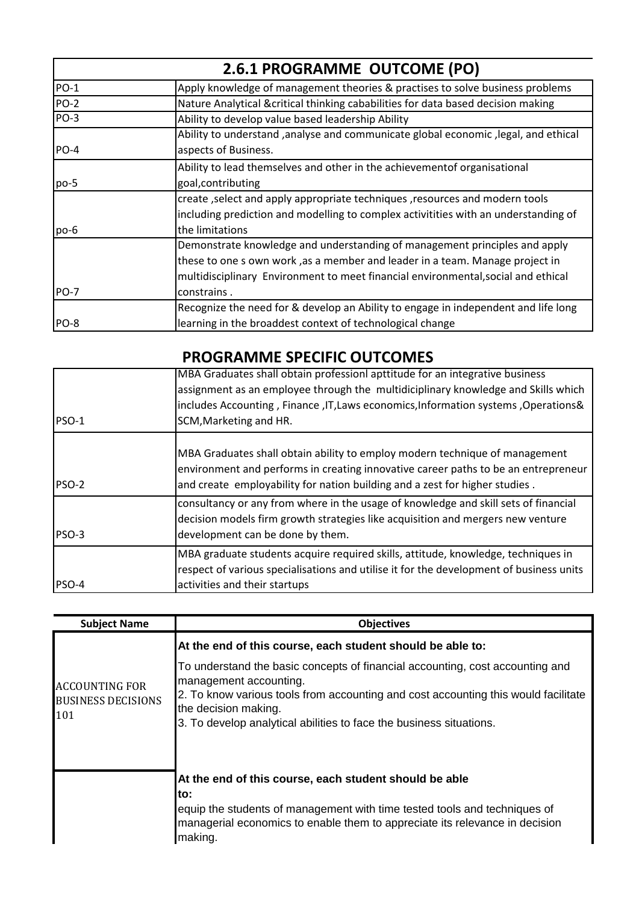|             | 2.6.1 PROGRAMME OUTCOME (PO)                                                                                                                                                                                                                                   |
|-------------|----------------------------------------------------------------------------------------------------------------------------------------------------------------------------------------------------------------------------------------------------------------|
| <b>PO-1</b> | Apply knowledge of management theories & practises to solve business problems                                                                                                                                                                                  |
| <b>PO-2</b> | Nature Analytical &critical thinking cababilities for data based decision making                                                                                                                                                                               |
| PO-3        | Ability to develop value based leadership Ability                                                                                                                                                                                                              |
| <b>PO-4</b> | Ability to understand ,analyse and communicate global economic , legal, and ethical<br>aspects of Business.                                                                                                                                                    |
| po-5        | Ability to lead themselves and other in the achievementof organisational<br>goal, contributing                                                                                                                                                                 |
| $po-6$      | create, select and apply appropriate techniques, resources and modern tools<br>including prediction and modelling to complex activitities with an understanding of<br>the limitations                                                                          |
| <b>PO-7</b> | Demonstrate knowledge and understanding of management principles and apply<br>these to one s own work, as a member and leader in a team. Manage project in<br>multidisciplinary Environment to meet financial environmental, social and ethical<br>constrains. |
| PO-8        | Recognize the need for & develop an Ability to engage in independent and life long<br>learning in the broaddest context of technological change                                                                                                                |

## **PROGRAMME SPECIFIC OUTCOMES**

| <b>PSO-1</b> | MBA Graduates shall obtain professionl apttitude for an integrative business<br>assignment as an employee through the multidiciplinary knowledge and Skills which<br>includes Accounting, Finance, IT, Laws economics, Information systems, Operations&<br>SCM, Marketing and HR. |
|--------------|-----------------------------------------------------------------------------------------------------------------------------------------------------------------------------------------------------------------------------------------------------------------------------------|
| <b>PSO-2</b> | MBA Graduates shall obtain ability to employ modern technique of management<br>environment and performs in creating innovative career paths to be an entrepreneur<br>and create employability for nation building and a zest for higher studies.                                  |
| PSO-3        | consultancy or any from where in the usage of knowledge and skill sets of financial<br>decision models firm growth strategies like acquisition and mergers new venture<br>development can be done by them.                                                                        |
| PSO-4        | MBA graduate students acquire required skills, attitude, knowledge, techniques in<br>respect of various specialisations and utilise it for the development of business units<br>activities and their startups                                                                     |

| <b>Subject Name</b>                                       | <b>Objectives</b>                                                                                                                                                                                                                                                                            |
|-----------------------------------------------------------|----------------------------------------------------------------------------------------------------------------------------------------------------------------------------------------------------------------------------------------------------------------------------------------------|
|                                                           | At the end of this course, each student should be able to:                                                                                                                                                                                                                                   |
| <b>ACCOUNTING FOR</b><br><b>BUSINESS DECISIONS</b><br>101 | To understand the basic concepts of financial accounting, cost accounting and<br>management accounting.<br>2. To know various tools from accounting and cost accounting this would facilitate<br>the decision making.<br>3. To develop analytical abilities to face the business situations. |
|                                                           | At the end of this course, each student should be able<br>to:<br>equip the students of management with time tested tools and techniques of<br>managerial economics to enable them to appreciate its relevance in decision<br>making.                                                         |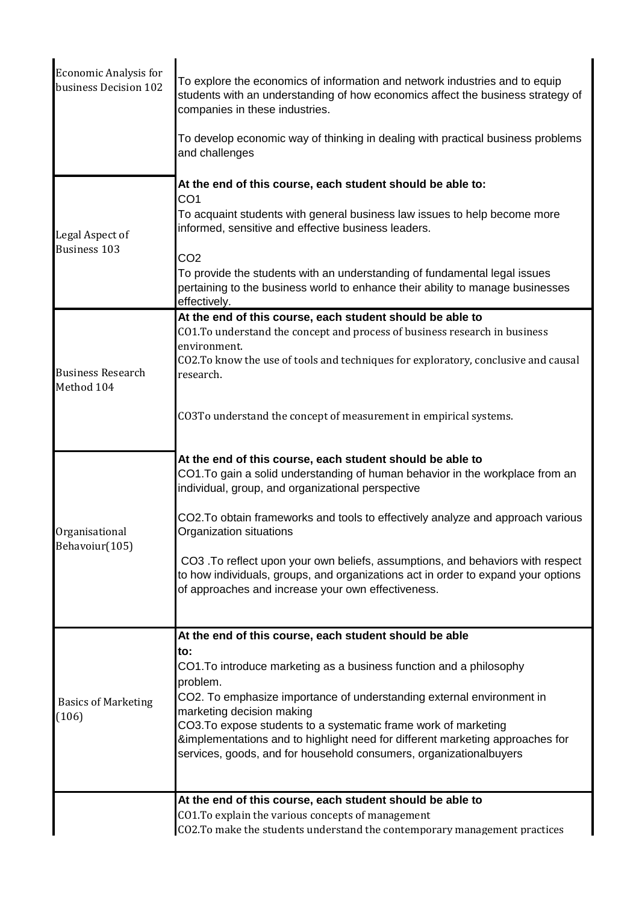| <b>Economic Analysis for</b><br>business Decision 102 | To explore the economics of information and network industries and to equip<br>students with an understanding of how economics affect the business strategy of<br>companies in these industries.                                                                                                                                                                                                                       |
|-------------------------------------------------------|------------------------------------------------------------------------------------------------------------------------------------------------------------------------------------------------------------------------------------------------------------------------------------------------------------------------------------------------------------------------------------------------------------------------|
|                                                       | To develop economic way of thinking in dealing with practical business problems<br>and challenges                                                                                                                                                                                                                                                                                                                      |
| Legal Aspect of<br><b>Business 103</b>                | At the end of this course, each student should be able to:<br>CO <sub>1</sub><br>To acquaint students with general business law issues to help become more<br>informed, sensitive and effective business leaders.                                                                                                                                                                                                      |
|                                                       | CO <sub>2</sub><br>To provide the students with an understanding of fundamental legal issues<br>pertaining to the business world to enhance their ability to manage businesses<br>effectively.                                                                                                                                                                                                                         |
|                                                       | At the end of this course, each student should be able to                                                                                                                                                                                                                                                                                                                                                              |
|                                                       | CO1. To understand the concept and process of business research in business                                                                                                                                                                                                                                                                                                                                            |
| <b>Business Research</b><br>Method 104                | environment.<br>CO2. To know the use of tools and techniques for exploratory, conclusive and causal<br>research.                                                                                                                                                                                                                                                                                                       |
|                                                       | CO3To understand the concept of measurement in empirical systems.                                                                                                                                                                                                                                                                                                                                                      |
|                                                       | At the end of this course, each student should be able to<br>CO1. To gain a solid understanding of human behavior in the workplace from an<br>individual, group, and organizational perspective                                                                                                                                                                                                                        |
| Organisational                                        | CO2. To obtain frameworks and tools to effectively analyze and approach various<br>Organization situations                                                                                                                                                                                                                                                                                                             |
| Behavoiur(105)                                        | CO3 .To reflect upon your own beliefs, assumptions, and behaviors with respect<br>to how individuals, groups, and organizations act in order to expand your options<br>of approaches and increase your own effectiveness.                                                                                                                                                                                              |
|                                                       | At the end of this course, each student should be able                                                                                                                                                                                                                                                                                                                                                                 |
| <b>Basics of Marketing</b><br>(106)                   | to:<br>CO1. To introduce marketing as a business function and a philosophy<br>problem.<br>CO2. To emphasize importance of understanding external environment in<br>marketing decision making<br>CO3. To expose students to a systematic frame work of marketing<br>&implementations and to highlight need for different marketing approaches for<br>services, goods, and for household consumers, organizationalbuyers |
|                                                       |                                                                                                                                                                                                                                                                                                                                                                                                                        |
|                                                       | At the end of this course, each student should be able to<br>CO1. To explain the various concepts of management<br>CO2. To make the students understand the contemporary management practices                                                                                                                                                                                                                          |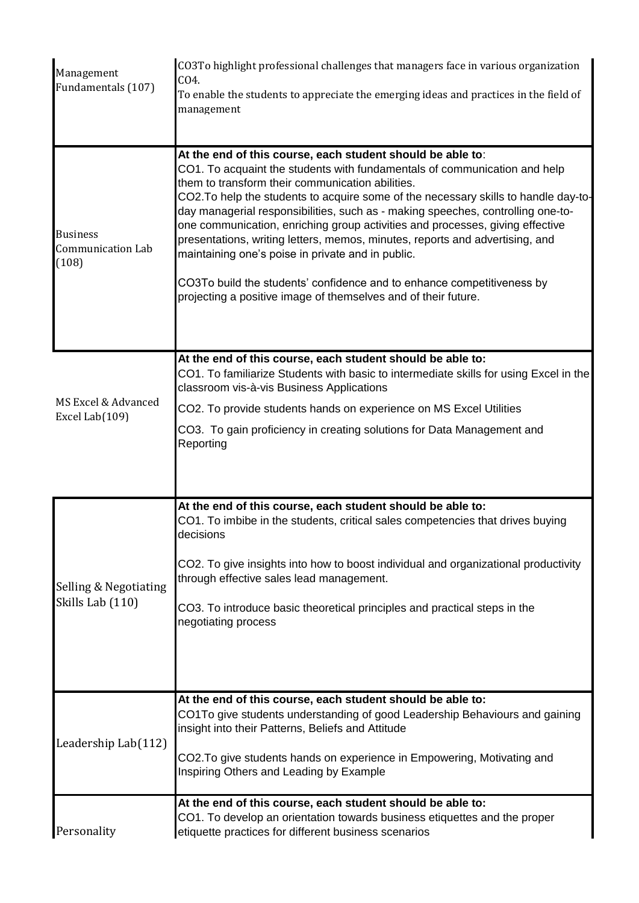| Management<br>Fundamentals (107)                     | CO3To highlight professional challenges that managers face in various organization<br>CO4.<br>To enable the students to appreciate the emerging ideas and practices in the field of<br>management                                                                                                                                                                                                                                                                                                                                                                                                                                                                                                                                       |
|------------------------------------------------------|-----------------------------------------------------------------------------------------------------------------------------------------------------------------------------------------------------------------------------------------------------------------------------------------------------------------------------------------------------------------------------------------------------------------------------------------------------------------------------------------------------------------------------------------------------------------------------------------------------------------------------------------------------------------------------------------------------------------------------------------|
| <b>Business</b><br><b>Communication Lab</b><br>(108) | At the end of this course, each student should be able to:<br>CO1. To acquaint the students with fundamentals of communication and help<br>them to transform their communication abilities.<br>CO2. To help the students to acquire some of the necessary skills to handle day-to-<br>day managerial responsibilities, such as - making speeches, controlling one-to-<br>one communication, enriching group activities and processes, giving effective<br>presentations, writing letters, memos, minutes, reports and advertising, and<br>maintaining one's poise in private and in public.<br>CO3To build the students' confidence and to enhance competitiveness by<br>projecting a positive image of themselves and of their future. |
| MS Excel & Advanced<br>Excel Lab(109)                | At the end of this course, each student should be able to:<br>CO1. To familiarize Students with basic to intermediate skills for using Excel in the<br>classroom vis-à-vis Business Applications<br>CO2. To provide students hands on experience on MS Excel Utilities<br>CO3. To gain proficiency in creating solutions for Data Management and<br>Reporting                                                                                                                                                                                                                                                                                                                                                                           |
| Selling & Negotiating<br>Skills Lab (110)            | At the end of this course, each student should be able to:<br>CO1. To imbibe in the students, critical sales competencies that drives buying<br>decisions<br>CO2. To give insights into how to boost individual and organizational productivity<br>through effective sales lead management.<br>CO3. To introduce basic theoretical principles and practical steps in the<br>negotiating process                                                                                                                                                                                                                                                                                                                                         |
| Leadership Lab(112)                                  | At the end of this course, each student should be able to:<br>CO1To give students understanding of good Leadership Behaviours and gaining<br>insight into their Patterns, Beliefs and Attitude<br>CO2. To give students hands on experience in Empowering, Motivating and<br>Inspiring Others and Leading by Example                                                                                                                                                                                                                                                                                                                                                                                                                    |
| Personality                                          | At the end of this course, each student should be able to:<br>CO1. To develop an orientation towards business etiquettes and the proper<br>etiquette practices for different business scenarios                                                                                                                                                                                                                                                                                                                                                                                                                                                                                                                                         |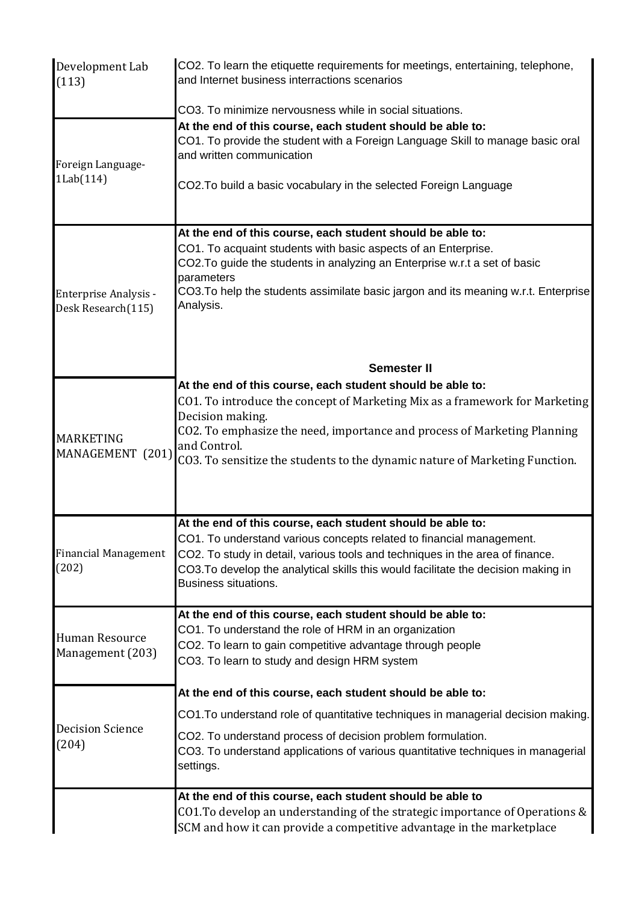| Development Lab<br>(113)                    | CO2. To learn the etiquette requirements for meetings, entertaining, telephone,<br>and Internet business interractions scenarios                                                                                                                                                                                                                                         |
|---------------------------------------------|--------------------------------------------------------------------------------------------------------------------------------------------------------------------------------------------------------------------------------------------------------------------------------------------------------------------------------------------------------------------------|
| Foreign Language-<br>1Lab(114)              | CO3. To minimize nervousness while in social situations.<br>At the end of this course, each student should be able to:<br>CO1. To provide the student with a Foreign Language Skill to manage basic oral<br>and written communication<br>CO2. To build a basic vocabulary in the selected Foreign Language<br>At the end of this course, each student should be able to: |
| Enterprise Analysis -<br>Desk Research(115) | CO1. To acquaint students with basic aspects of an Enterprise.<br>CO2. To guide the students in analyzing an Enterprise w.r.t a set of basic<br>parameters<br>CO3. To help the students assimilate basic jargon and its meaning w.r.t. Enterprise<br>Analysis.                                                                                                           |
|                                             | <b>Semester II</b>                                                                                                                                                                                                                                                                                                                                                       |
| <b>MARKETING</b><br>MANAGEMENT (201)        | At the end of this course, each student should be able to:<br>CO1. To introduce the concept of Marketing Mix as a framework for Marketing<br>Decision making.<br>CO2. To emphasize the need, importance and process of Marketing Planning<br>and Control.<br>CO3. To sensitize the students to the dynamic nature of Marketing Function.                                 |
| <b>Financial Management</b><br>(202)        | At the end of this course, each student should be able to:<br>CO1. To understand various concepts related to financial management.<br>CO2. To study in detail, various tools and techniques in the area of finance.<br>CO3. To develop the analytical skills this would facilitate the decision making in<br><b>Business situations.</b>                                 |
| Human Resource<br>Management (203)          | At the end of this course, each student should be able to:<br>CO1. To understand the role of HRM in an organization<br>CO2. To learn to gain competitive advantage through people<br>CO3. To learn to study and design HRM system                                                                                                                                        |
|                                             | At the end of this course, each student should be able to:                                                                                                                                                                                                                                                                                                               |
|                                             | CO1.To understand role of quantitative techniques in managerial decision making.                                                                                                                                                                                                                                                                                         |
| <b>Decision Science</b><br>(204)            | CO2. To understand process of decision problem formulation.<br>CO3. To understand applications of various quantitative techniques in managerial<br>settings.                                                                                                                                                                                                             |
|                                             | At the end of this course, each student should be able to                                                                                                                                                                                                                                                                                                                |
|                                             | CO1. To develop an understanding of the strategic importance of Operations &<br>SCM and how it can provide a competitive advantage in the marketplace                                                                                                                                                                                                                    |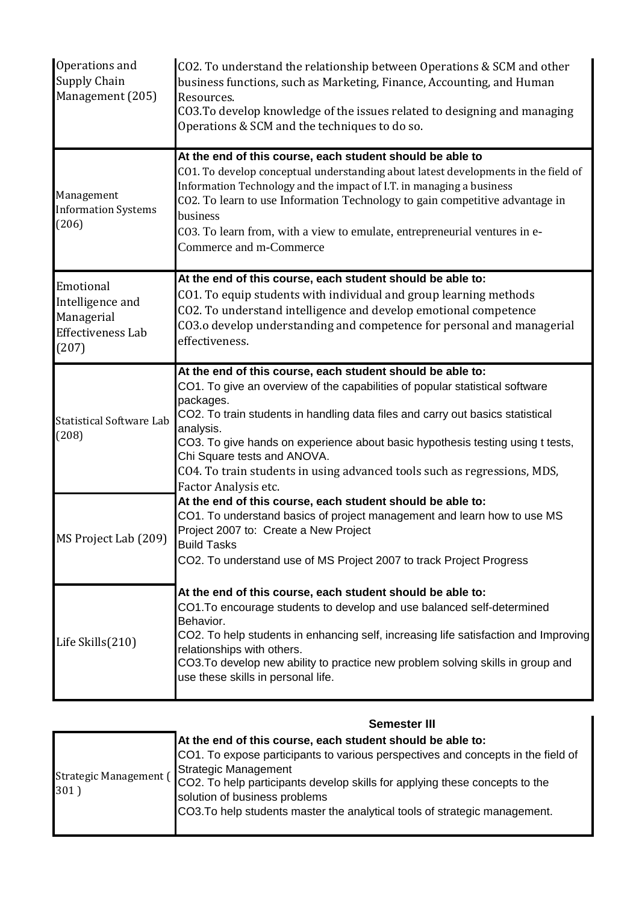| Operations and<br><b>Supply Chain</b><br>Management (205)                        | CO2. To understand the relationship between Operations & SCM and other<br>business functions, such as Marketing, Finance, Accounting, and Human<br>Resources.<br>CO3. To develop knowledge of the issues related to designing and managing<br>Operations & SCM and the techniques to do so.                                                                                                                                                                                 |
|----------------------------------------------------------------------------------|-----------------------------------------------------------------------------------------------------------------------------------------------------------------------------------------------------------------------------------------------------------------------------------------------------------------------------------------------------------------------------------------------------------------------------------------------------------------------------|
| Management<br><b>Information Systems</b><br>(206)                                | At the end of this course, each student should be able to<br>CO1. To develop conceptual understanding about latest developments in the field of<br>Information Technology and the impact of I.T. in managing a business<br>CO2. To learn to use Information Technology to gain competitive advantage in<br>business<br>CO3. To learn from, with a view to emulate, entrepreneurial ventures in e-<br>Commerce and m-Commerce                                                |
| Emotional<br>Intelligence and<br>Managerial<br><b>Effectiveness Lab</b><br>(207) | At the end of this course, each student should be able to:<br>CO1. To equip students with individual and group learning methods<br>CO2. To understand intelligence and develop emotional competence<br>CO3.o develop understanding and competence for personal and managerial<br>effectiveness.                                                                                                                                                                             |
| <b>Statistical Software Lab</b><br>(208)                                         | At the end of this course, each student should be able to:<br>CO1. To give an overview of the capabilities of popular statistical software<br>packages.<br>CO2. To train students in handling data files and carry out basics statistical<br>analysis.<br>CO3. To give hands on experience about basic hypothesis testing using t tests,<br>Chi Square tests and ANOVA.<br>CO4. To train students in using advanced tools such as regressions, MDS,<br>Factor Analysis etc. |
| MS Project Lab (209)                                                             | At the end of this course, each student should be able to:<br>CO1. To understand basics of project management and learn how to use MS<br>Project 2007 to: Create a New Project<br><b>Build Tasks</b><br>CO2. To understand use of MS Project 2007 to track Project Progress                                                                                                                                                                                                 |
| Life Skills(210)                                                                 | At the end of this course, each student should be able to:<br>CO1. To encourage students to develop and use balanced self-determined<br>Behavior.<br>CO2. To help students in enhancing self, increasing life satisfaction and Improving<br>relationships with others.<br>CO3. To develop new ability to practice new problem solving skills in group and<br>use these skills in personal life.                                                                             |

|                                | JEIIIESLEI III                                                                                                                                                                                                                                                                                                                                                       |
|--------------------------------|----------------------------------------------------------------------------------------------------------------------------------------------------------------------------------------------------------------------------------------------------------------------------------------------------------------------------------------------------------------------|
| Strategic Management (<br>301) | At the end of this course, each student should be able to:<br>CO1. To expose participants to various perspectives and concepts in the field of<br>Strategic Management<br>CO2. To help participants develop skills for applying these concepts to the<br>solution of business problems<br>CO3. To help students master the analytical tools of strategic management. |

## **Semester III**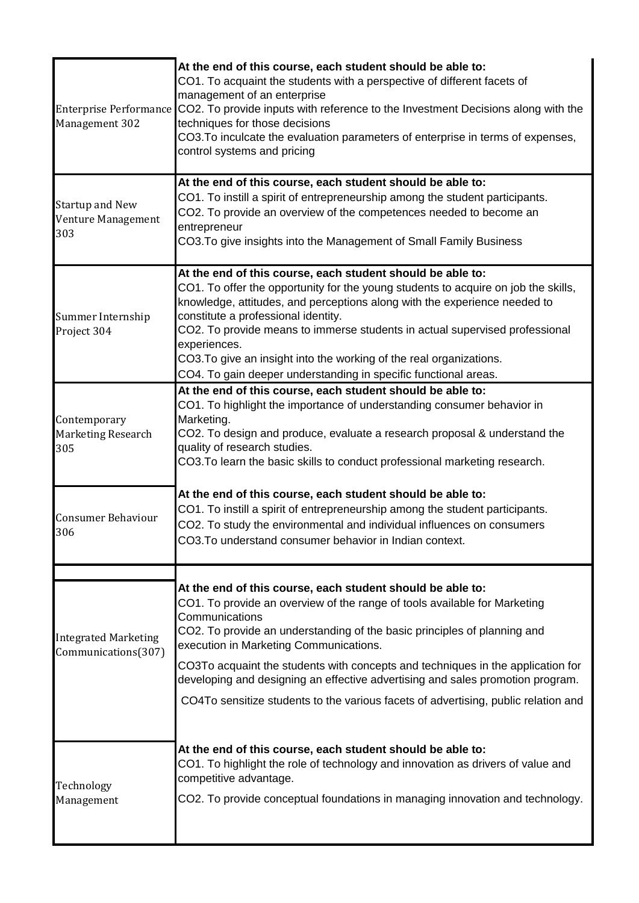| Management 302                                      | At the end of this course, each student should be able to:<br>CO1. To acquaint the students with a perspective of different facets of<br>management of an enterprise<br>Enterprise Performance CO2. To provide inputs with reference to the Investment Decisions along with the<br>techniques for those decisions<br>CO3. To inculcate the evaluation parameters of enterprise in terms of expenses,<br>control systems and pricing                                                                                                        |
|-----------------------------------------------------|--------------------------------------------------------------------------------------------------------------------------------------------------------------------------------------------------------------------------------------------------------------------------------------------------------------------------------------------------------------------------------------------------------------------------------------------------------------------------------------------------------------------------------------------|
| <b>Startup and New</b><br>Venture Management<br>303 | At the end of this course, each student should be able to:<br>CO1. To instill a spirit of entrepreneurship among the student participants.<br>CO2. To provide an overview of the competences needed to become an<br>entrepreneur<br>CO3. To give insights into the Management of Small Family Business                                                                                                                                                                                                                                     |
| Summer Internship<br>Project 304                    | At the end of this course, each student should be able to:<br>CO1. To offer the opportunity for the young students to acquire on job the skills,<br>knowledge, attitudes, and perceptions along with the experience needed to<br>constitute a professional identity.<br>CO2. To provide means to immerse students in actual supervised professional<br>experiences.<br>CO3. To give an insight into the working of the real organizations.<br>CO4. To gain deeper understanding in specific functional areas.                              |
| Contemporary<br>Marketing Research<br>305           | At the end of this course, each student should be able to:<br>CO1. To highlight the importance of understanding consumer behavior in<br>Marketing.<br>CO2. To design and produce, evaluate a research proposal & understand the<br>quality of research studies.<br>CO3. To learn the basic skills to conduct professional marketing research.                                                                                                                                                                                              |
| <b>Consumer Behaviour</b><br>306                    | At the end of this course, each student should be able to:<br>CO1. To instill a spirit of entrepreneurship among the student participants.<br>CO2. To study the environmental and individual influences on consumers<br>CO3. To understand consumer behavior in Indian context.                                                                                                                                                                                                                                                            |
| <b>Integrated Marketing</b><br>Communications(307)  | At the end of this course, each student should be able to:<br>CO1. To provide an overview of the range of tools available for Marketing<br>Communications<br>CO2. To provide an understanding of the basic principles of planning and<br>execution in Marketing Communications.<br>CO3To acquaint the students with concepts and techniques in the application for<br>developing and designing an effective advertising and sales promotion program.<br>CO4To sensitize students to the various facets of advertising, public relation and |
| Technology<br>Management                            | At the end of this course, each student should be able to:<br>CO1. To highlight the role of technology and innovation as drivers of value and<br>competitive advantage.<br>CO2. To provide conceptual foundations in managing innovation and technology.                                                                                                                                                                                                                                                                                   |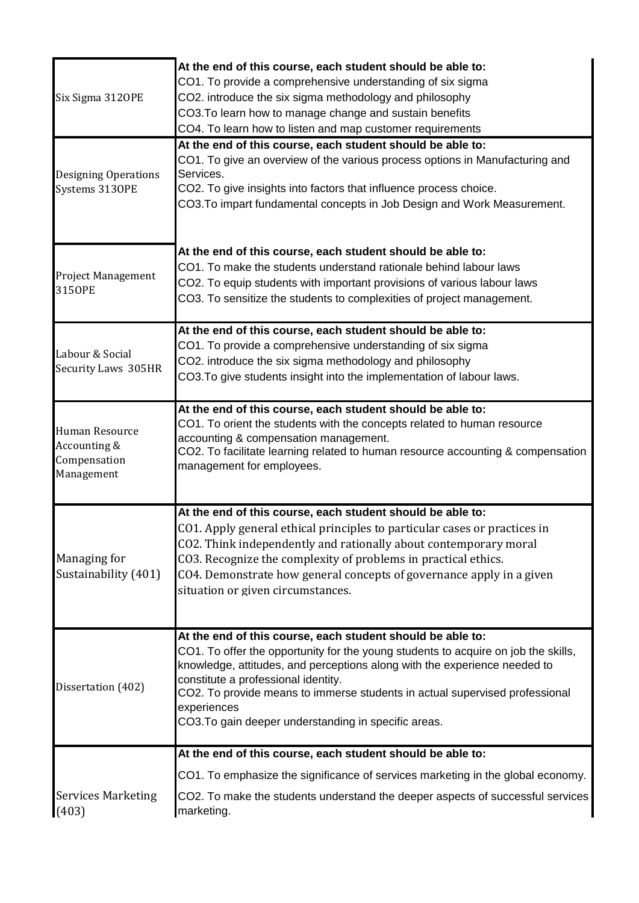| Six Sigma 3120PE                                             | At the end of this course, each student should be able to:<br>CO1. To provide a comprehensive understanding of six sigma<br>CO2. introduce the six sigma methodology and philosophy<br>CO3. To learn how to manage change and sustain benefits<br>CO4. To learn how to listen and map customer requirements                                                                                                                |
|--------------------------------------------------------------|----------------------------------------------------------------------------------------------------------------------------------------------------------------------------------------------------------------------------------------------------------------------------------------------------------------------------------------------------------------------------------------------------------------------------|
| Designing Operations<br>Systems 3130PE                       | At the end of this course, each student should be able to:<br>CO1. To give an overview of the various process options in Manufacturing and<br>Services.<br>CO2. To give insights into factors that influence process choice.<br>CO3. To impart fundamental concepts in Job Design and Work Measurement.                                                                                                                    |
| <b>Project Management</b><br>3150PE                          | At the end of this course, each student should be able to:<br>CO1. To make the students understand rationale behind labour laws<br>CO2. To equip students with important provisions of various labour laws<br>CO3. To sensitize the students to complexities of project management.                                                                                                                                        |
| Labour & Social<br>Security Laws 305HR                       | At the end of this course, each student should be able to:<br>CO1. To provide a comprehensive understanding of six sigma<br>CO2. introduce the six sigma methodology and philosophy<br>CO3. To give students insight into the implementation of labour laws.                                                                                                                                                               |
| Human Resource<br>Accounting &<br>Compensation<br>Management | At the end of this course, each student should be able to:<br>CO1. To orient the students with the concepts related to human resource<br>accounting & compensation management.<br>CO2. To facilitate learning related to human resource accounting & compensation<br>management for employees.                                                                                                                             |
| Managing for<br>Sustainability (401)                         | At the end of this course, each student should be able to:<br>CO1. Apply general ethical principles to particular cases or practices in<br>CO2. Think independently and rationally about contemporary moral<br>CO3. Recognize the complexity of problems in practical ethics.<br>CO4. Demonstrate how general concepts of governance apply in a given<br>situation or given circumstances.                                 |
| Dissertation (402)                                           | At the end of this course, each student should be able to:<br>CO1. To offer the opportunity for the young students to acquire on job the skills,<br>knowledge, attitudes, and perceptions along with the experience needed to<br>constitute a professional identity.<br>CO2. To provide means to immerse students in actual supervised professional<br>experiences<br>CO3. To gain deeper understanding in specific areas. |
|                                                              | At the end of this course, each student should be able to:                                                                                                                                                                                                                                                                                                                                                                 |
| <b>Services Marketing</b>                                    | CO1. To emphasize the significance of services marketing in the global economy.<br>CO2. To make the students understand the deeper aspects of successful services                                                                                                                                                                                                                                                          |
| (403)                                                        | marketing.                                                                                                                                                                                                                                                                                                                                                                                                                 |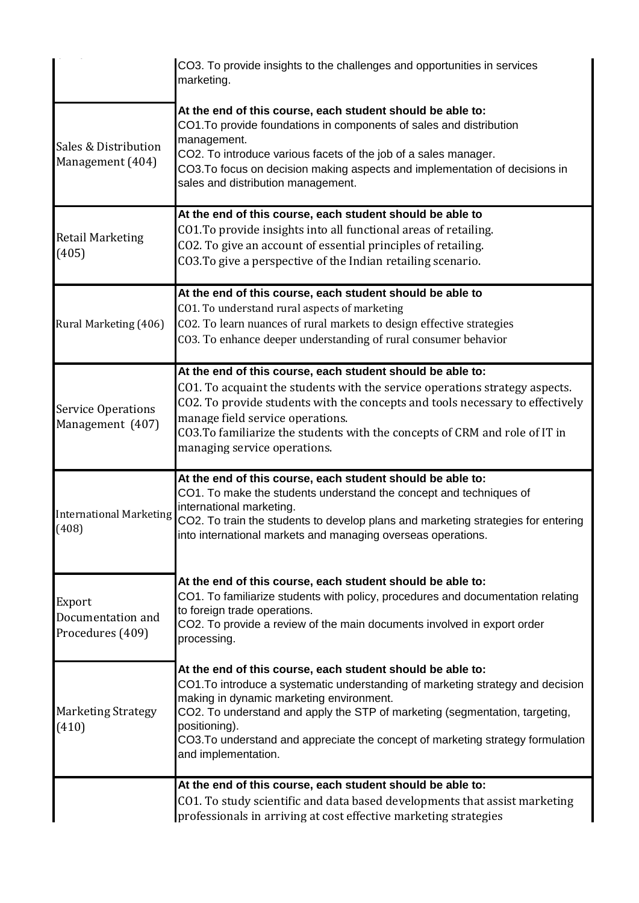|                                                 | CO3. To provide insights to the challenges and opportunities in services<br>marketing.                                                                                                                                                                                                                                                                                                              |
|-------------------------------------------------|-----------------------------------------------------------------------------------------------------------------------------------------------------------------------------------------------------------------------------------------------------------------------------------------------------------------------------------------------------------------------------------------------------|
| Sales & Distribution<br>Management (404)        | At the end of this course, each student should be able to:<br>CO1. To provide foundations in components of sales and distribution<br>management.<br>CO2. To introduce various facets of the job of a sales manager.<br>CO3. To focus on decision making aspects and implementation of decisions in<br>sales and distribution management.                                                            |
| <b>Retail Marketing</b><br>(405)                | At the end of this course, each student should be able to<br>CO1. To provide insights into all functional areas of retailing.<br>CO2. To give an account of essential principles of retailing.<br>CO3. To give a perspective of the Indian retailing scenario.                                                                                                                                      |
| Rural Marketing (406)                           | At the end of this course, each student should be able to<br>CO1. To understand rural aspects of marketing<br>CO2. To learn nuances of rural markets to design effective strategies<br>CO3. To enhance deeper understanding of rural consumer behavior                                                                                                                                              |
| <b>Service Operations</b><br>Management (407)   | At the end of this course, each student should be able to:<br>CO1. To acquaint the students with the service operations strategy aspects.<br>CO2. To provide students with the concepts and tools necessary to effectively<br>manage field service operations.<br>CO3. To familiarize the students with the concepts of CRM and role of IT in<br>managing service operations.                       |
| <b>International Marketing</b><br>(408)         | At the end of this course, each student should be able to:<br>CO1. To make the students understand the concept and techniques of<br>international marketing.<br>CO2. To train the students to develop plans and marketing strategies for entering<br>into international markets and managing overseas operations.                                                                                   |
| Export<br>Documentation and<br>Procedures (409) | At the end of this course, each student should be able to:<br>CO1. To familiarize students with policy, procedures and documentation relating<br>to foreign trade operations.<br>CO2. To provide a review of the main documents involved in export order<br>processing.                                                                                                                             |
| <b>Marketing Strategy</b><br>(410)              | At the end of this course, each student should be able to:<br>CO1. To introduce a systematic understanding of marketing strategy and decision<br>making in dynamic marketing environment.<br>CO2. To understand and apply the STP of marketing (segmentation, targeting,<br>positioning).<br>CO3. To understand and appreciate the concept of marketing strategy formulation<br>and implementation. |
|                                                 | At the end of this course, each student should be able to:<br>CO1. To study scientific and data based developments that assist marketing<br>professionals in arriving at cost effective marketing strategies                                                                                                                                                                                        |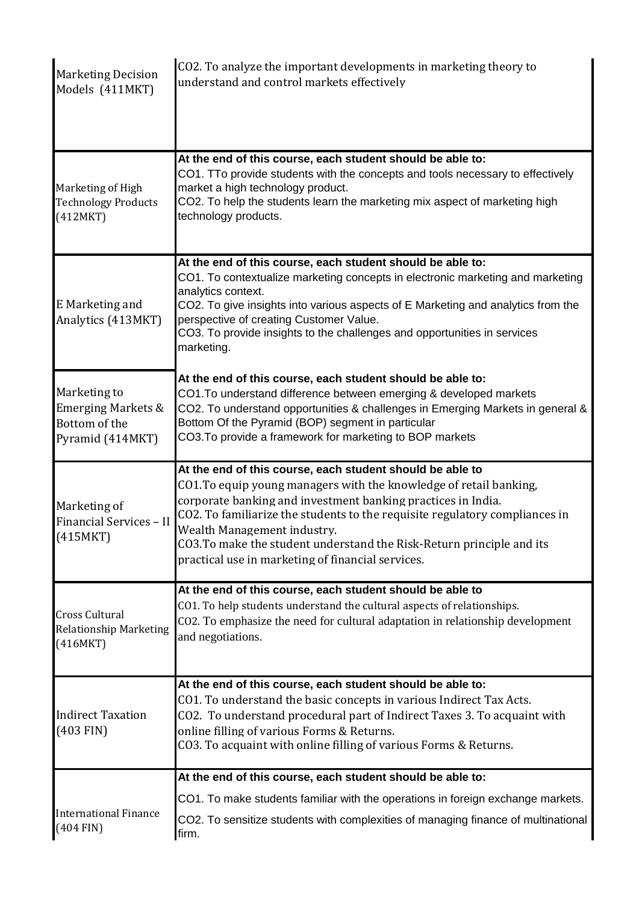| <b>Marketing Decision</b><br>Models (411MKT)                                       | CO2. To analyze the important developments in marketing theory to<br>understand and control markets effectively                                                                                                                                                                                                                                                                                                                             |
|------------------------------------------------------------------------------------|---------------------------------------------------------------------------------------------------------------------------------------------------------------------------------------------------------------------------------------------------------------------------------------------------------------------------------------------------------------------------------------------------------------------------------------------|
| Marketing of High<br><b>Technology Products</b><br>(412MKT)                        | At the end of this course, each student should be able to:<br>CO1. TTo provide students with the concepts and tools necessary to effectively<br>market a high technology product.<br>CO2. To help the students learn the marketing mix aspect of marketing high<br>technology products.                                                                                                                                                     |
| E Marketing and<br>Analytics (413MKT)                                              | At the end of this course, each student should be able to:<br>CO1. To contextualize marketing concepts in electronic marketing and marketing<br>analytics context.<br>CO2. To give insights into various aspects of E Marketing and analytics from the<br>perspective of creating Customer Value.<br>CO3. To provide insights to the challenges and opportunities in services<br>marketing.                                                 |
| Marketing to<br><b>Emerging Markets &amp;</b><br>Bottom of the<br>Pyramid (414MKT) | At the end of this course, each student should be able to:<br>CO1. To understand difference between emerging & developed markets<br>CO2. To understand opportunities & challenges in Emerging Markets in general &<br>Bottom Of the Pyramid (BOP) segment in particular<br>CO3. To provide a framework for marketing to BOP markets                                                                                                         |
| Marketing of<br>Financial Services - II<br>(415MKT)                                | At the end of this course, each student should be able to<br>CO1. To equip young managers with the knowledge of retail banking,<br>corporate banking and investment banking practices in India.<br>CO2. To familiarize the students to the requisite regulatory compliances in<br>Wealth Management industry.<br>CO3. To make the student understand the Risk-Return principle and its<br>practical use in marketing of financial services. |
| <b>Cross Cultural</b><br><b>Relationship Marketing</b><br>(416MKT)                 | At the end of this course, each student should be able to<br>CO1. To help students understand the cultural aspects of relationships.<br>CO2. To emphasize the need for cultural adaptation in relationship development<br>and negotiations.                                                                                                                                                                                                 |
| <b>Indirect Taxation</b><br>$(403$ FIN)                                            | At the end of this course, each student should be able to:<br>CO1. To understand the basic concepts in various Indirect Tax Acts.<br>CO2. To understand procedural part of Indirect Taxes 3. To acquaint with<br>online filling of various Forms & Returns.<br>CO3. To acquaint with online filling of various Forms & Returns.                                                                                                             |
| <b>International Finance</b><br>$(404$ FIN)                                        | At the end of this course, each student should be able to:<br>CO1. To make students familiar with the operations in foreign exchange markets.<br>CO2. To sensitize students with complexities of managing finance of multinational<br>firm.                                                                                                                                                                                                 |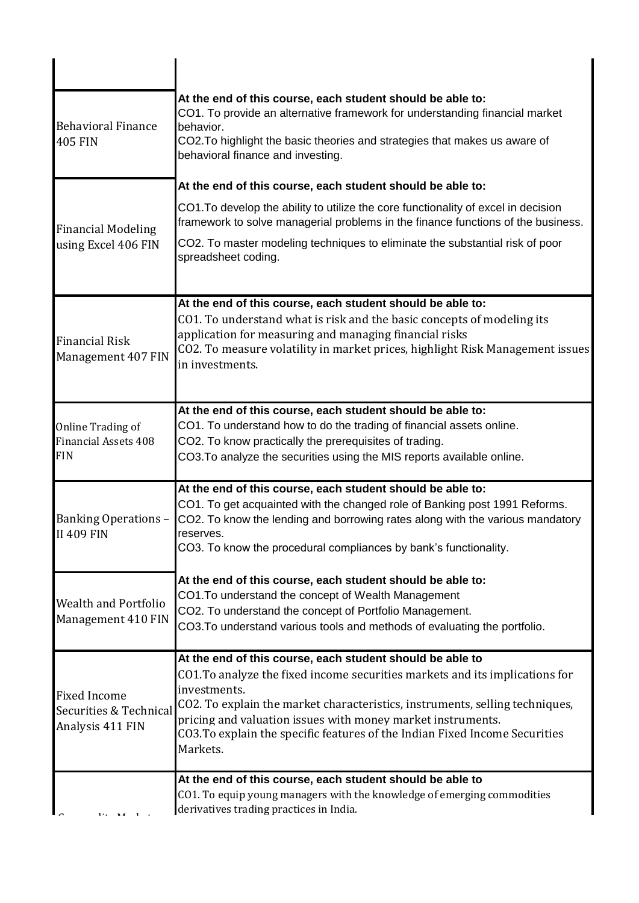| <b>Behavioral Finance</b><br><b>405 FIN</b>                       | At the end of this course, each student should be able to:<br>CO1. To provide an alternative framework for understanding financial market<br>behavior.<br>CO2. To highlight the basic theories and strategies that makes us aware of<br>behavioral finance and investing.                                  |
|-------------------------------------------------------------------|------------------------------------------------------------------------------------------------------------------------------------------------------------------------------------------------------------------------------------------------------------------------------------------------------------|
|                                                                   | At the end of this course, each student should be able to:                                                                                                                                                                                                                                                 |
| <b>Financial Modeling</b>                                         | CO1. To develop the ability to utilize the core functionality of excel in decision<br>framework to solve managerial problems in the finance functions of the business.                                                                                                                                     |
| using Excel 406 FIN                                               | CO2. To master modeling techniques to eliminate the substantial risk of poor<br>spreadsheet coding.                                                                                                                                                                                                        |
|                                                                   | At the end of this course, each student should be able to:                                                                                                                                                                                                                                                 |
| <b>Financial Risk</b><br>Management 407 FIN                       | CO1. To understand what is risk and the basic concepts of modeling its<br>application for measuring and managing financial risks<br>CO2. To measure volatility in market prices, highlight Risk Management issues<br>in investments.                                                                       |
|                                                                   | At the end of this course, each student should be able to:                                                                                                                                                                                                                                                 |
| Online Trading of<br><b>Financial Assets 408</b><br><b>FIN</b>    | CO1. To understand how to do the trading of financial assets online.<br>CO2. To know practically the prerequisites of trading.<br>CO3. To analyze the securities using the MIS reports available online.                                                                                                   |
| <b>Banking Operations -</b><br><b>II 409 FIN</b>                  | At the end of this course, each student should be able to:<br>CO1. To get acquainted with the changed role of Banking post 1991 Reforms.<br>CO2. To know the lending and borrowing rates along with the various mandatory<br>reserves.<br>CO3. To know the procedural compliances by bank's functionality. |
|                                                                   | At the end of this course, each student should be able to:                                                                                                                                                                                                                                                 |
| <b>Wealth and Portfolio</b><br>Management 410 FIN                 | CO1. To understand the concept of Wealth Management<br>CO2. To understand the concept of Portfolio Management.<br>CO3. To understand various tools and methods of evaluating the portfolio.                                                                                                                |
|                                                                   | At the end of this course, each student should be able to<br>CO1. To analyze the fixed income securities markets and its implications for                                                                                                                                                                  |
| <b>Fixed Income</b><br>Securities & Technical<br>Analysis 411 FIN | investments.<br>CO2. To explain the market characteristics, instruments, selling techniques,<br>pricing and valuation issues with money market instruments.<br>CO3. To explain the specific features of the Indian Fixed Income Securities<br>Markets.                                                     |
|                                                                   | At the end of this course, each student should be able to<br>CO1. To equip young managers with the knowledge of emerging commodities<br>derivatives trading practices in India.                                                                                                                            |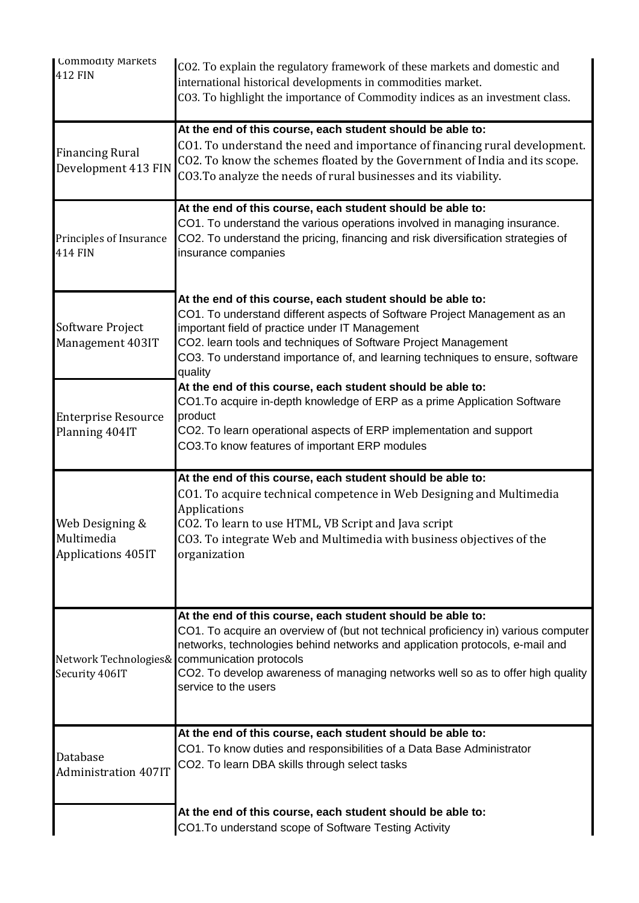| <b>Lommodity Markets</b><br>412 FIN                        | CO2. To explain the regulatory framework of these markets and domestic and<br>international historical developments in commodities market.<br>CO3. To highlight the importance of Commodity indices as an investment class.                                                                                                                                                                  |
|------------------------------------------------------------|----------------------------------------------------------------------------------------------------------------------------------------------------------------------------------------------------------------------------------------------------------------------------------------------------------------------------------------------------------------------------------------------|
| <b>Financing Rural</b><br>Development 413 FIN              | At the end of this course, each student should be able to:<br>CO1. To understand the need and importance of financing rural development.<br>CO2. To know the schemes floated by the Government of India and its scope.<br>CO3. To analyze the needs of rural businesses and its viability.                                                                                                   |
| Principles of Insurance<br><b>414 FIN</b>                  | At the end of this course, each student should be able to:<br>CO1. To understand the various operations involved in managing insurance.<br>CO2. To understand the pricing, financing and risk diversification strategies of<br>insurance companies                                                                                                                                           |
| Software Project<br>Management 403IT                       | At the end of this course, each student should be able to:<br>CO1. To understand different aspects of Software Project Management as an<br>important field of practice under IT Management<br>CO2. learn tools and techniques of Software Project Management<br>CO3. To understand importance of, and learning techniques to ensure, software<br>quality                                     |
| <b>Enterprise Resource</b><br>Planning 404IT               | At the end of this course, each student should be able to:<br>CO1. To acquire in-depth knowledge of ERP as a prime Application Software<br>product<br>CO2. To learn operational aspects of ERP implementation and support<br>CO3. To know features of important ERP modules                                                                                                                  |
| Web Designing &<br>Multimedia<br><b>Applications 405IT</b> | At the end of this course, each student should be able to:<br>CO1. To acquire technical competence in Web Designing and Multimedia<br><b>Applications</b><br>CO2. To learn to use HTML, VB Script and Java script<br>CO3. To integrate Web and Multimedia with business objectives of the<br>organization                                                                                    |
| Security 406IT                                             | At the end of this course, each student should be able to:<br>CO1. To acquire an overview of (but not technical proficiency in) various computer<br>networks, technologies behind networks and application protocols, e-mail and<br>Network Technologies& communication protocols<br>CO2. To develop awareness of managing networks well so as to offer high quality<br>service to the users |
| Database<br><b>Administration 407IT</b>                    | At the end of this course, each student should be able to:<br>CO1. To know duties and responsibilities of a Data Base Administrator<br>CO2. To learn DBA skills through select tasks                                                                                                                                                                                                         |
|                                                            | At the end of this course, each student should be able to:<br>CO1. To understand scope of Software Testing Activity                                                                                                                                                                                                                                                                          |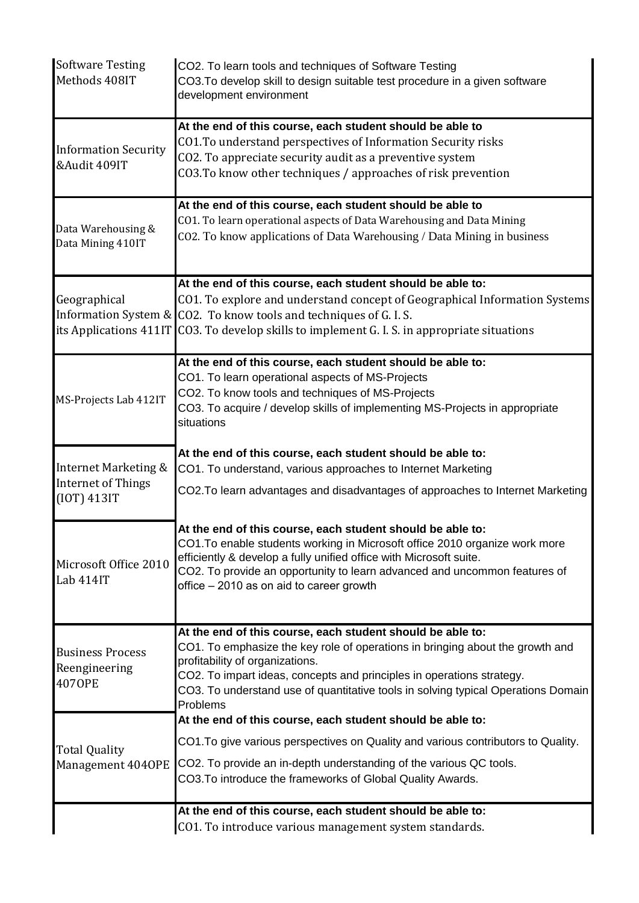| <b>Software Testing</b><br>Methods 408IT                         | CO2. To learn tools and techniques of Software Testing<br>CO3. To develop skill to design suitable test procedure in a given software<br>development environment                                                                                                                                                                                         |
|------------------------------------------------------------------|----------------------------------------------------------------------------------------------------------------------------------------------------------------------------------------------------------------------------------------------------------------------------------------------------------------------------------------------------------|
| <b>Information Security</b><br>&Audit 409IT                      | At the end of this course, each student should be able to<br>CO1. To understand perspectives of Information Security risks<br>CO2. To appreciate security audit as a preventive system<br>CO3. To know other techniques / approaches of risk prevention                                                                                                  |
| Data Warehousing &<br>Data Mining 410IT                          | At the end of this course, each student should be able to<br>CO1. To learn operational aspects of Data Warehousing and Data Mining<br>CO2. To know applications of Data Warehousing / Data Mining in business                                                                                                                                            |
| Geographical                                                     | At the end of this course, each student should be able to:<br>CO1. To explore and understand concept of Geographical Information Systems<br>Information System & CO2. To know tools and techniques of G.I.S.<br>its Applications 411IT CO3. To develop skills to implement G. I. S. in appropriate situations                                            |
| MS-Projects Lab 412IT                                            | At the end of this course, each student should be able to:<br>CO1. To learn operational aspects of MS-Projects<br>CO2. To know tools and techniques of MS-Projects<br>CO3. To acquire / develop skills of implementing MS-Projects in appropriate<br>situations                                                                                          |
| Internet Marketing &<br><b>Internet of Things</b><br>(IOT) 413IT | At the end of this course, each student should be able to:<br>CO1. To understand, various approaches to Internet Marketing<br>CO2.To learn advantages and disadvantages of approaches to Internet Marketing                                                                                                                                              |
| Microsoft Office 2010<br>Lab 414IT                               | At the end of this course, each student should be able to:<br>CO1. To enable students working in Microsoft office 2010 organize work more<br>efficiently & develop a fully unified office with Microsoft suite.<br>CO2. To provide an opportunity to learn advanced and uncommon features of<br>office - 2010 as on aid to career growth                 |
| <b>Business Process</b><br>Reengineering<br><b>4070PE</b>        | At the end of this course, each student should be able to:<br>CO1. To emphasize the key role of operations in bringing about the growth and<br>profitability of organizations.<br>CO2. To impart ideas, concepts and principles in operations strategy.<br>CO3. To understand use of quantitative tools in solving typical Operations Domain<br>Problems |
| <b>Total Quality</b>                                             | At the end of this course, each student should be able to:<br>CO1. To give various perspectives on Quality and various contributors to Quality.<br>Management 4040PE CO2. To provide an in-depth understanding of the various QC tools.<br>CO3. To introduce the frameworks of Global Quality Awards.                                                    |
|                                                                  | At the end of this course, each student should be able to:<br>CO1. To introduce various management system standards.                                                                                                                                                                                                                                     |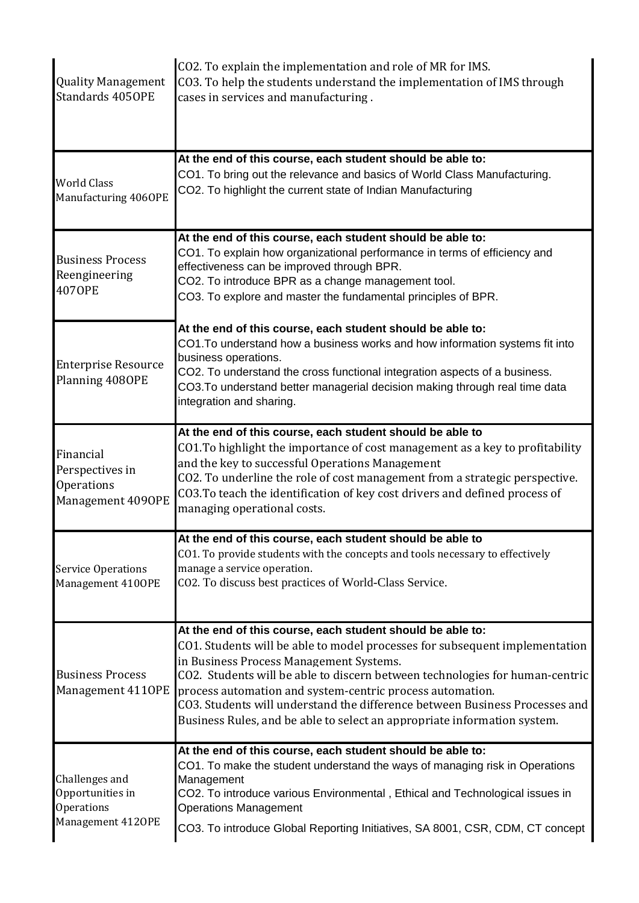| <b>Quality Management</b><br>Standards 4050PE                         | CO2. To explain the implementation and role of MR for IMS.<br>CO3. To help the students understand the implementation of IMS through<br>cases in services and manufacturing.                                                                                                                                                                                                                                                                                                                 |
|-----------------------------------------------------------------------|----------------------------------------------------------------------------------------------------------------------------------------------------------------------------------------------------------------------------------------------------------------------------------------------------------------------------------------------------------------------------------------------------------------------------------------------------------------------------------------------|
| <b>World Class</b><br>Manufacturing 4060PE                            | At the end of this course, each student should be able to:<br>CO1. To bring out the relevance and basics of World Class Manufacturing.<br>CO2. To highlight the current state of Indian Manufacturing                                                                                                                                                                                                                                                                                        |
| <b>Business Process</b><br>Reengineering<br><b>4070PE</b>             | At the end of this course, each student should be able to:<br>CO1. To explain how organizational performance in terms of efficiency and<br>effectiveness can be improved through BPR.<br>CO2. To introduce BPR as a change management tool.<br>CO3. To explore and master the fundamental principles of BPR.                                                                                                                                                                                 |
| <b>Enterprise Resource</b><br>Planning 4080PE                         | At the end of this course, each student should be able to:<br>CO1. To understand how a business works and how information systems fit into<br>business operations.<br>CO2. To understand the cross functional integration aspects of a business.<br>CO3. To understand better managerial decision making through real time data<br>integration and sharing.                                                                                                                                  |
| Financial<br>Perspectives in<br>Operations<br>Management 4090PE       | At the end of this course, each student should be able to<br>CO1. To highlight the importance of cost management as a key to profitability<br>and the key to successful Operations Management<br>CO2. To underline the role of cost management from a strategic perspective.<br>CO3. To teach the identification of key cost drivers and defined process of<br>managing operational costs.                                                                                                   |
| <b>Service Operations</b><br>Management 4100PE                        | At the end of this course, each student should be able to<br>CO1. To provide students with the concepts and tools necessary to effectively<br>manage a service operation.<br>CO2. To discuss best practices of World-Class Service.                                                                                                                                                                                                                                                          |
| <b>Business Process</b><br>Management 4110PE                          | At the end of this course, each student should be able to:<br>CO1. Students will be able to model processes for subsequent implementation<br>in Business Process Management Systems.<br>CO2. Students will be able to discern between technologies for human-centric<br>process automation and system-centric process automation.<br>CO3. Students will understand the difference between Business Processes and<br>Business Rules, and be able to select an appropriate information system. |
| Challenges and<br>Opportunities in<br>Operations<br>Management 4120PE | At the end of this course, each student should be able to:<br>CO1. To make the student understand the ways of managing risk in Operations<br>Management<br>CO2. To introduce various Environmental, Ethical and Technological issues in<br><b>Operations Management</b><br>CO3. To introduce Global Reporting Initiatives, SA 8001, CSR, CDM, CT concept                                                                                                                                     |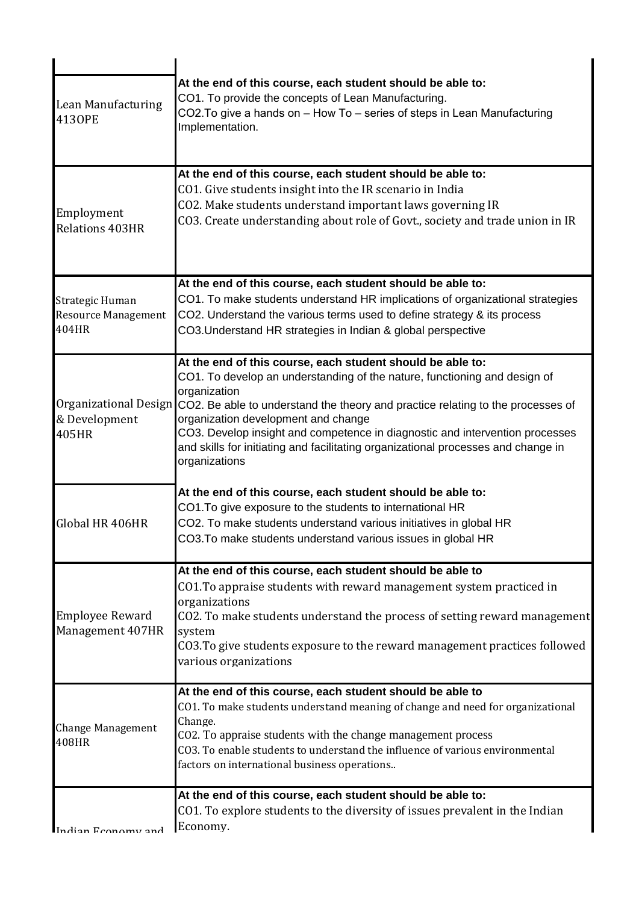| <b>Lean Manufacturing</b><br>4130PE                    | At the end of this course, each student should be able to:<br>CO1. To provide the concepts of Lean Manufacturing.<br>CO2. To give a hands on - How To - series of steps in Lean Manufacturing<br>Implementation.                                                                                                                                                                                                                                                                              |
|--------------------------------------------------------|-----------------------------------------------------------------------------------------------------------------------------------------------------------------------------------------------------------------------------------------------------------------------------------------------------------------------------------------------------------------------------------------------------------------------------------------------------------------------------------------------|
| Employment<br><b>Relations 403HR</b>                   | At the end of this course, each student should be able to:<br>CO1. Give students insight into the IR scenario in India<br>CO2. Make students understand important laws governing IR<br>CO3. Create understanding about role of Govt., society and trade union in IR                                                                                                                                                                                                                           |
| Strategic Human<br><b>Resource Management</b><br>404HR | At the end of this course, each student should be able to:<br>CO1. To make students understand HR implications of organizational strategies<br>CO2. Understand the various terms used to define strategy & its process<br>CO3. Understand HR strategies in Indian & global perspective                                                                                                                                                                                                        |
| & Development<br>405HR                                 | At the end of this course, each student should be able to:<br>CO1. To develop an understanding of the nature, functioning and design of<br>organization<br>Organizational Design CO2. Be able to understand the theory and practice relating to the processes of<br>organization development and change<br>CO3. Develop insight and competence in diagnostic and intervention processes<br>and skills for initiating and facilitating organizational processes and change in<br>organizations |
| Global HR 406HR                                        | At the end of this course, each student should be able to:<br>CO1. To give exposure to the students to international HR<br>CO2. To make students understand various initiatives in global HR<br>CO3. To make students understand various issues in global HR                                                                                                                                                                                                                                  |
| <b>Employee Reward</b><br>Management 407HR             | At the end of this course, each student should be able to<br>CO1. To appraise students with reward management system practiced in<br>organizations<br>CO2. To make students understand the process of setting reward management<br>system<br>CO3. To give students exposure to the reward management practices followed<br>various organizations                                                                                                                                              |
| <b>Change Management</b><br>408HR                      | At the end of this course, each student should be able to<br>CO1. To make students understand meaning of change and need for organizational<br>Change.<br>CO2. To appraise students with the change management process<br>CO3. To enable students to understand the influence of various environmental<br>factors on international business operations                                                                                                                                        |
| Indian Fronomy and                                     | At the end of this course, each student should be able to:<br>CO1. To explore students to the diversity of issues prevalent in the Indian<br>Economy.                                                                                                                                                                                                                                                                                                                                         |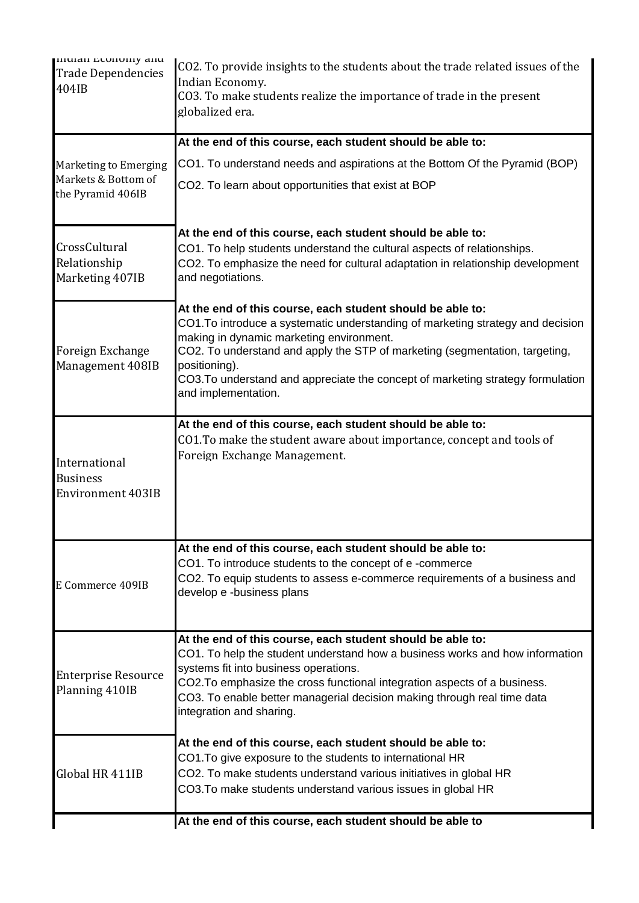| mulan numuniy anu<br><b>Trade Dependencies</b><br>404IB      | CO2. To provide insights to the students about the trade related issues of the<br>Indian Economy.<br>CO3. To make students realize the importance of trade in the present<br>globalized era.                                                                                                                                                                                                       |
|--------------------------------------------------------------|----------------------------------------------------------------------------------------------------------------------------------------------------------------------------------------------------------------------------------------------------------------------------------------------------------------------------------------------------------------------------------------------------|
|                                                              | At the end of this course, each student should be able to:                                                                                                                                                                                                                                                                                                                                         |
| Marketing to Emerging                                        | CO1. To understand needs and aspirations at the Bottom Of the Pyramid (BOP)                                                                                                                                                                                                                                                                                                                        |
| Markets & Bottom of<br>the Pyramid 406IB                     | CO2. To learn about opportunities that exist at BOP                                                                                                                                                                                                                                                                                                                                                |
| CrossCultural<br>Relationship<br>Marketing 407IB             | At the end of this course, each student should be able to:<br>CO1. To help students understand the cultural aspects of relationships.<br>CO2. To emphasize the need for cultural adaptation in relationship development<br>and negotiations.                                                                                                                                                       |
| Foreign Exchange<br>Management 408IB                         | At the end of this course, each student should be able to:<br>CO1.To introduce a systematic understanding of marketing strategy and decision<br>making in dynamic marketing environment.<br>CO2. To understand and apply the STP of marketing (segmentation, targeting,<br>positioning).<br>CO3. To understand and appreciate the concept of marketing strategy formulation<br>and implementation. |
| International<br><b>Business</b><br><b>Environment 403IB</b> | At the end of this course, each student should be able to:<br>CO1. To make the student aware about importance, concept and tools of<br>Foreign Exchange Management.                                                                                                                                                                                                                                |
| E Commerce 409IB                                             | At the end of this course, each student should be able to:<br>CO1. To introduce students to the concept of e-commerce<br>CO2. To equip students to assess e-commerce requirements of a business and<br>develop e -business plans                                                                                                                                                                   |
| <b>Enterprise Resource</b><br>Planning 410IB                 | At the end of this course, each student should be able to:<br>CO1. To help the student understand how a business works and how information<br>systems fit into business operations.<br>CO2. To emphasize the cross functional integration aspects of a business.<br>CO3. To enable better managerial decision making through real time data<br>integration and sharing.                            |
| Global HR 411IB                                              | At the end of this course, each student should be able to:<br>CO1. To give exposure to the students to international HR<br>CO2. To make students understand various initiatives in global HR<br>CO3. To make students understand various issues in global HR                                                                                                                                       |
|                                                              | At the end of this course, each student should be able to                                                                                                                                                                                                                                                                                                                                          |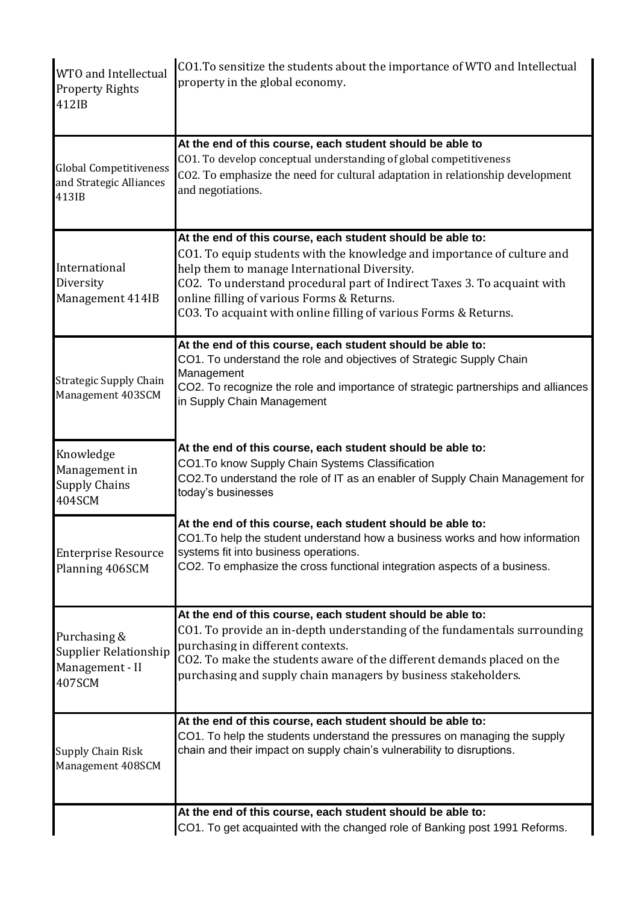| WTO and Intellectual<br><b>Property Rights</b><br>412IB                          | CO1. To sensitize the students about the importance of WTO and Intellectual<br>property in the global economy.                                                                                                                                                                                                                                                                      |
|----------------------------------------------------------------------------------|-------------------------------------------------------------------------------------------------------------------------------------------------------------------------------------------------------------------------------------------------------------------------------------------------------------------------------------------------------------------------------------|
| <b>Global Competitiveness</b><br>and Strategic Alliances<br>413IB                | At the end of this course, each student should be able to<br>CO1. To develop conceptual understanding of global competitiveness<br>CO2. To emphasize the need for cultural adaptation in relationship development<br>and negotiations.                                                                                                                                              |
| International<br>Diversity<br>Management 414IB                                   | At the end of this course, each student should be able to:<br>CO1. To equip students with the knowledge and importance of culture and<br>help them to manage International Diversity.<br>CO2. To understand procedural part of Indirect Taxes 3. To acquaint with<br>online filling of various Forms & Returns.<br>CO3. To acquaint with online filling of various Forms & Returns. |
| <b>Strategic Supply Chain</b><br>Management 403SCM                               | At the end of this course, each student should be able to:<br>CO1. To understand the role and objectives of Strategic Supply Chain<br>Management<br>CO2. To recognize the role and importance of strategic partnerships and alliances<br>in Supply Chain Management                                                                                                                 |
| Knowledge<br>Management in<br><b>Supply Chains</b><br>404SCM                     | At the end of this course, each student should be able to:<br>CO1.To know Supply Chain Systems Classification<br>CO2.To understand the role of IT as an enabler of Supply Chain Management for<br>today's businesses                                                                                                                                                                |
| <b>Enterprise Resource</b><br>Planning 406SCM                                    | At the end of this course, each student should be able to:<br>CO1. To help the student understand how a business works and how information<br>systems fit into business operations.<br>CO2. To emphasize the cross functional integration aspects of a business.                                                                                                                    |
| Purchasing &<br><b>Supplier Relationship</b><br>Management - II<br><b>407SCM</b> | At the end of this course, each student should be able to:<br>CO1. To provide an in-depth understanding of the fundamentals surrounding<br>purchasing in different contexts.<br>CO2. To make the students aware of the different demands placed on the<br>purchasing and supply chain managers by business stakeholders.                                                            |
| <b>Supply Chain Risk</b><br>Management 408SCM                                    | At the end of this course, each student should be able to:<br>CO1. To help the students understand the pressures on managing the supply<br>chain and their impact on supply chain's vulnerability to disruptions.                                                                                                                                                                   |
|                                                                                  | At the end of this course, each student should be able to:<br>CO1. To get acquainted with the changed role of Banking post 1991 Reforms.                                                                                                                                                                                                                                            |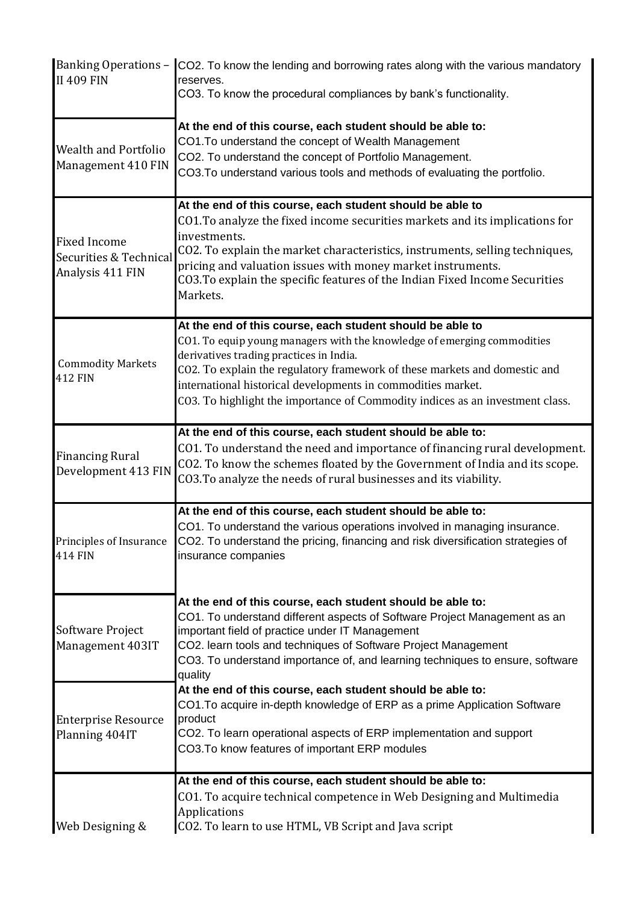| <b>II 409 FIN</b>                                                 | Banking Operations - CO2. To know the lending and borrowing rates along with the various mandatory<br>reserves.<br>CO3. To know the procedural compliances by bank's functionality.                                                                                                                                                                                                                            |
|-------------------------------------------------------------------|----------------------------------------------------------------------------------------------------------------------------------------------------------------------------------------------------------------------------------------------------------------------------------------------------------------------------------------------------------------------------------------------------------------|
| <b>Wealth and Portfolio</b><br>Management 410 FIN                 | At the end of this course, each student should be able to:<br>CO1. To understand the concept of Wealth Management<br>CO2. To understand the concept of Portfolio Management.<br>CO3. To understand various tools and methods of evaluating the portfolio.                                                                                                                                                      |
| <b>Fixed Income</b><br>Securities & Technical<br>Analysis 411 FIN | At the end of this course, each student should be able to<br>CO1. To analyze the fixed income securities markets and its implications for<br>investments.<br>CO2. To explain the market characteristics, instruments, selling techniques,<br>pricing and valuation issues with money market instruments.<br>CO3. To explain the specific features of the Indian Fixed Income Securities<br>Markets.            |
| <b>Commodity Markets</b><br><b>412 FIN</b>                        | At the end of this course, each student should be able to<br>CO1. To equip young managers with the knowledge of emerging commodities<br>derivatives trading practices in India.<br>CO2. To explain the regulatory framework of these markets and domestic and<br>international historical developments in commodities market.<br>CO3. To highlight the importance of Commodity indices as an investment class. |
| <b>Financing Rural</b><br>Development 413 FIN                     | At the end of this course, each student should be able to:<br>CO1. To understand the need and importance of financing rural development.<br>CO2. To know the schemes floated by the Government of India and its scope.<br>CO3. To analyze the needs of rural businesses and its viability.                                                                                                                     |
| Principles of Insurance<br>414 FIN                                | At the end of this course, each student should be able to:<br>CO1. To understand the various operations involved in managing insurance.<br>CO2. To understand the pricing, financing and risk diversification strategies of<br>insurance companies                                                                                                                                                             |
| Software Project<br>Management 403IT                              | At the end of this course, each student should be able to:<br>CO1. To understand different aspects of Software Project Management as an<br>important field of practice under IT Management<br>CO2. learn tools and techniques of Software Project Management<br>CO3. To understand importance of, and learning techniques to ensure, software<br>quality                                                       |
| <b>Enterprise Resource</b><br>Planning 404IT                      | At the end of this course, each student should be able to:<br>CO1. To acquire in-depth knowledge of ERP as a prime Application Software<br>product<br>CO2. To learn operational aspects of ERP implementation and support<br>CO3. To know features of important ERP modules                                                                                                                                    |
| Web Designing &                                                   | At the end of this course, each student should be able to:<br>CO1. To acquire technical competence in Web Designing and Multimedia<br><b>Applications</b><br>CO2. To learn to use HTML, VB Script and Java script                                                                                                                                                                                              |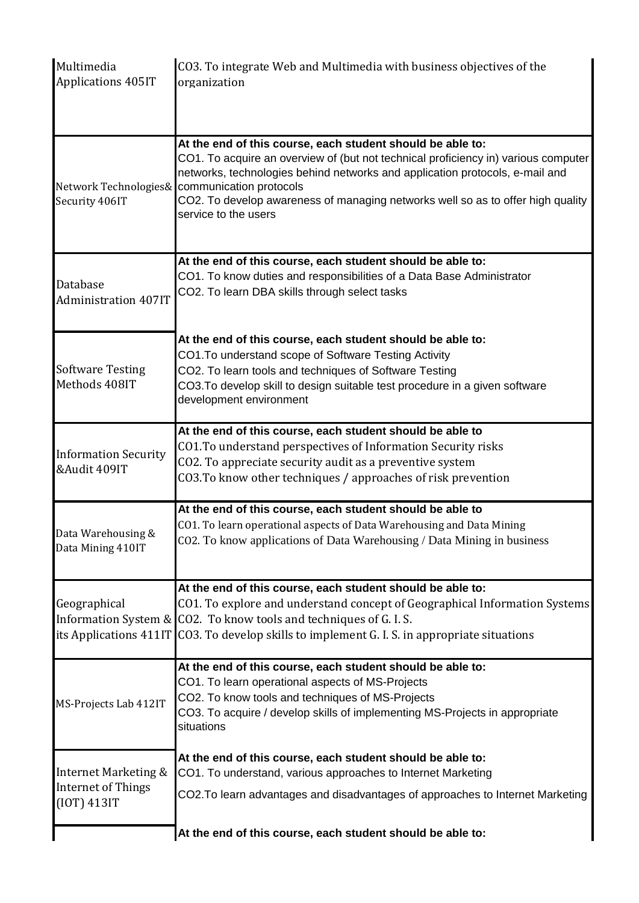| Multimedia<br>Applications 405IT                                            | CO3. To integrate Web and Multimedia with business objectives of the<br>organization                                                                                                                                                                                                                                                                                                         |
|-----------------------------------------------------------------------------|----------------------------------------------------------------------------------------------------------------------------------------------------------------------------------------------------------------------------------------------------------------------------------------------------------------------------------------------------------------------------------------------|
| Security 406IT                                                              | At the end of this course, each student should be able to:<br>CO1. To acquire an overview of (but not technical proficiency in) various computer<br>networks, technologies behind networks and application protocols, e-mail and<br>Network Technologies& communication protocols<br>CO2. To develop awareness of managing networks well so as to offer high quality<br>service to the users |
| Database<br><b>Administration 407IT</b>                                     | At the end of this course, each student should be able to:<br>CO1. To know duties and responsibilities of a Data Base Administrator<br>CO2. To learn DBA skills through select tasks                                                                                                                                                                                                         |
| <b>Software Testing</b><br>Methods 408IT                                    | At the end of this course, each student should be able to:<br>CO1. To understand scope of Software Testing Activity<br>CO2. To learn tools and techniques of Software Testing<br>CO3. To develop skill to design suitable test procedure in a given software<br>development environment                                                                                                      |
| <b>Information Security</b><br>&Audit 409IT                                 | At the end of this course, each student should be able to<br>CO1. To understand perspectives of Information Security risks<br>CO2. To appreciate security audit as a preventive system<br>CO3. To know other techniques / approaches of risk prevention                                                                                                                                      |
| Data Warehousing &<br>Data Mining 410IT                                     | At the end of this course, each student should be able to<br>CO1. To learn operational aspects of Data Warehousing and Data Mining<br>CO2. To know applications of Data Warehousing / Data Mining in business                                                                                                                                                                                |
| Geographical                                                                | At the end of this course, each student should be able to:<br>CO1. To explore and understand concept of Geographical Information Systems<br>Information System & CO2. To know tools and techniques of G.I.S.<br>its Applications 411IT CO3. To develop skills to implement G. I. S. in appropriate situations                                                                                |
| MS-Projects Lab 412IT                                                       | At the end of this course, each student should be able to:<br>CO1. To learn operational aspects of MS-Projects<br>CO2. To know tools and techniques of MS-Projects<br>CO3. To acquire / develop skills of implementing MS-Projects in appropriate<br>situations                                                                                                                              |
| <b>Internet Marketing &amp;</b><br><b>Internet of Things</b><br>(IOT) 413IT | At the end of this course, each student should be able to:<br>CO1. To understand, various approaches to Internet Marketing<br>CO2.To learn advantages and disadvantages of approaches to Internet Marketing                                                                                                                                                                                  |
|                                                                             | At the end of this course, each student should be able to:                                                                                                                                                                                                                                                                                                                                   |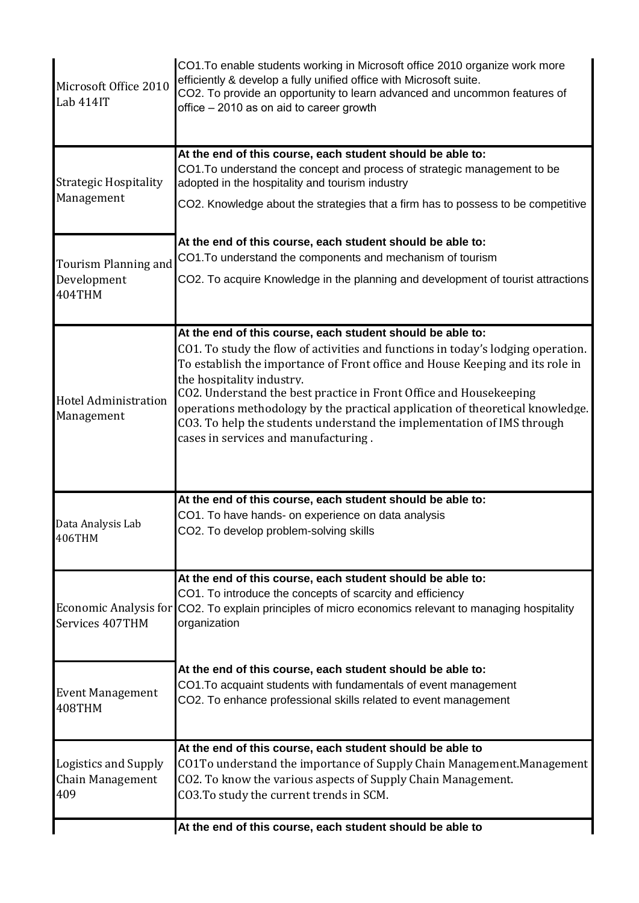|                                                 | At the end of this course, each student should be able to                                                                                                                                                                                                                                                                                                                                                                                                                                                                             |
|-------------------------------------------------|---------------------------------------------------------------------------------------------------------------------------------------------------------------------------------------------------------------------------------------------------------------------------------------------------------------------------------------------------------------------------------------------------------------------------------------------------------------------------------------------------------------------------------------|
| Logistics and Supply<br>Chain Management<br>409 | At the end of this course, each student should be able to<br>CO1To understand the importance of Supply Chain Management. Management<br>CO2. To know the various aspects of Supply Chain Management.<br>CO3. To study the current trends in SCM.                                                                                                                                                                                                                                                                                       |
| <b>Event Management</b><br>408THM               | At the end of this course, each student should be able to:<br>CO1. To acquaint students with fundamentals of event management<br>CO2. To enhance professional skills related to event management                                                                                                                                                                                                                                                                                                                                      |
| <b>Economic Analysis for</b><br>Services 407THM | At the end of this course, each student should be able to:<br>CO1. To introduce the concepts of scarcity and efficiency<br>CO2. To explain principles of micro economics relevant to managing hospitality<br>organization                                                                                                                                                                                                                                                                                                             |
| Data Analysis Lab<br>406THM                     | At the end of this course, each student should be able to:<br>CO1. To have hands- on experience on data analysis<br>CO2. To develop problem-solving skills                                                                                                                                                                                                                                                                                                                                                                            |
| <b>Hotel Administration</b><br>Management       | At the end of this course, each student should be able to:<br>CO1. To study the flow of activities and functions in today's lodging operation.<br>To establish the importance of Front office and House Keeping and its role in<br>the hospitality industry.<br>CO2. Understand the best practice in Front Office and Housekeeping<br>operations methodology by the practical application of theoretical knowledge.<br>CO3. To help the students understand the implementation of IMS through<br>cases in services and manufacturing. |
| Tourism Planning and<br>Development<br>404THM   | At the end of this course, each student should be able to:<br>CO1. To understand the components and mechanism of tourism<br>CO2. To acquire Knowledge in the planning and development of tourist attractions                                                                                                                                                                                                                                                                                                                          |
| <b>Strategic Hospitality</b><br>Management      | At the end of this course, each student should be able to:<br>CO1. To understand the concept and process of strategic management to be<br>adopted in the hospitality and tourism industry<br>CO2. Knowledge about the strategies that a firm has to possess to be competitive                                                                                                                                                                                                                                                         |
| Microsoft Office 2010<br>Lab 414IT              | CO1. To enable students working in Microsoft office 2010 organize work more<br>efficiently & develop a fully unified office with Microsoft suite.<br>CO2. To provide an opportunity to learn advanced and uncommon features of<br>office - 2010 as on aid to career growth                                                                                                                                                                                                                                                            |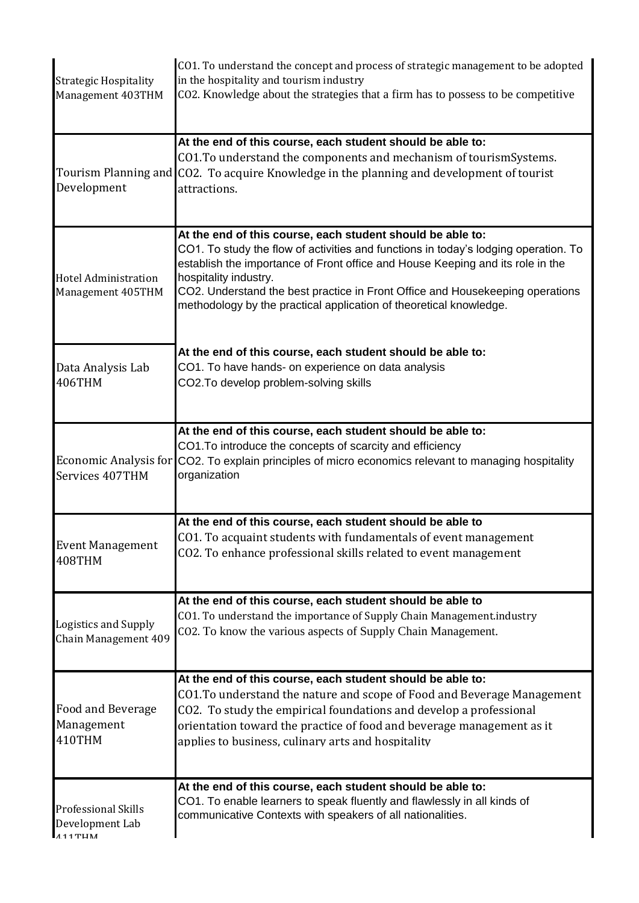| <b>Strategic Hospitality</b><br>Management 403THM          | CO1. To understand the concept and process of strategic management to be adopted<br>in the hospitality and tourism industry<br>CO2. Knowledge about the strategies that a firm has to possess to be competitive                                                                                                                                                                                                     |
|------------------------------------------------------------|---------------------------------------------------------------------------------------------------------------------------------------------------------------------------------------------------------------------------------------------------------------------------------------------------------------------------------------------------------------------------------------------------------------------|
| Tourism Planning and<br>Development                        | At the end of this course, each student should be able to:<br>CO1. To understand the components and mechanism of tourismSystems.<br>CO2. To acquire Knowledge in the planning and development of tourist<br>attractions.                                                                                                                                                                                            |
| <b>Hotel Administration</b><br>Management 405THM           | At the end of this course, each student should be able to:<br>CO1. To study the flow of activities and functions in today's lodging operation. To<br>establish the importance of Front office and House Keeping and its role in the<br>hospitality industry.<br>CO2. Understand the best practice in Front Office and Housekeeping operations<br>methodology by the practical application of theoretical knowledge. |
| Data Analysis Lab<br>406THM                                | At the end of this course, each student should be able to:<br>CO1. To have hands- on experience on data analysis<br>CO2. To develop problem-solving skills                                                                                                                                                                                                                                                          |
| Economic Analysis for<br>Services 407THM                   | At the end of this course, each student should be able to:<br>CO1. To introduce the concepts of scarcity and efficiency<br>CO2. To explain principles of micro economics relevant to managing hospitality<br>organization                                                                                                                                                                                           |
| <b>Event Management</b><br>408THM                          | At the end of this course, each student should be able to<br>CO1. To acquaint students with fundamentals of event management<br>CO2. To enhance professional skills related to event management                                                                                                                                                                                                                     |
| Logistics and Supply<br>Chain Management 409               | At the end of this course, each student should be able to<br>CO1. To understand the importance of Supply Chain Management.industry<br>CO2. To know the various aspects of Supply Chain Management.                                                                                                                                                                                                                  |
| Food and Beverage<br>Management<br>410THM                  | At the end of this course, each student should be able to:<br>CO1. To understand the nature and scope of Food and Beverage Management<br>CO2. To study the empirical foundations and develop a professional<br>orientation toward the practice of food and beverage management as it<br>applies to business, culinary arts and hospitality                                                                          |
| <b>Professional Skills</b><br>Development Lab<br>$A11$ TUM | At the end of this course, each student should be able to:<br>CO1. To enable learners to speak fluently and flawlessly in all kinds of<br>communicative Contexts with speakers of all nationalities.                                                                                                                                                                                                                |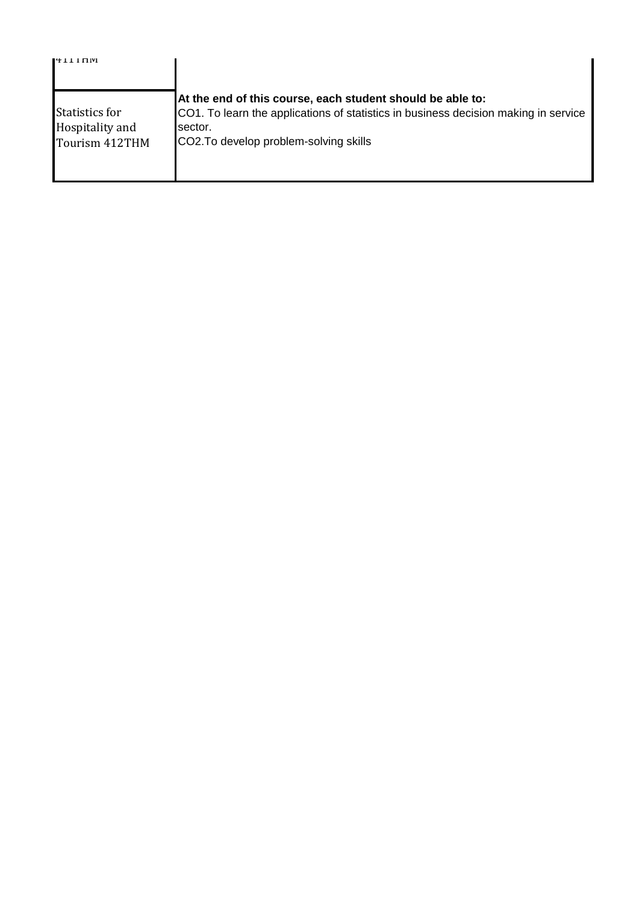| 14 L L L IT IVI                                            |                                                                                                                                                                                                        |
|------------------------------------------------------------|--------------------------------------------------------------------------------------------------------------------------------------------------------------------------------------------------------|
| <b>Statistics for</b><br>Hospitality and<br>Tourism 412THM | At the end of this course, each student should be able to:<br>CO1. To learn the applications of statistics in business decision making in service<br>sector.<br>CO2. To develop problem-solving skills |